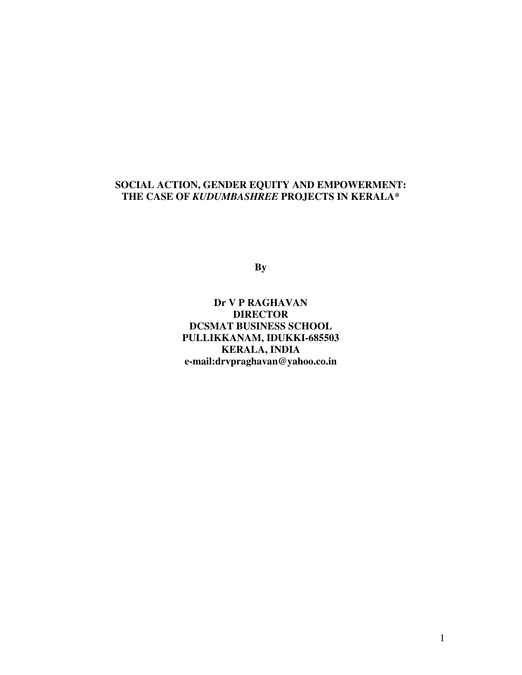### **SOCIAL ACTION, GENDER EQUITY AND EMPOWERMENT: THE CASE OF** *KUDUMBASHREE* **PROJECTS IN KERALA\***

**By** 

**Dr V P RAGHAVAN DIRECTOR DCSMAT BUSINESS SCHOOL PULLIKKANAM, IDUKKI-685503 KERALA, INDIA e-mail:drvpraghavan@yahoo.co.in**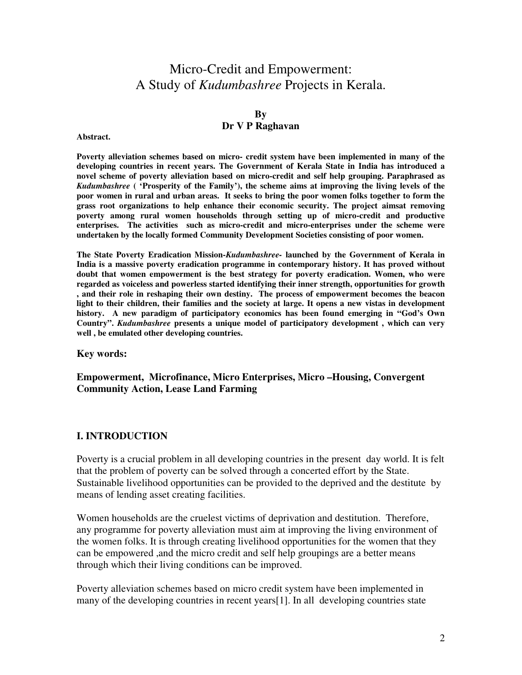## Micro-Credit and Empowerment: A Study of *Kudumbashree* Projects in Kerala.

## **By**

#### **Dr V P Raghavan**

#### **Abstract.**

**Poverty alleviation schemes based on micro- credit system have been implemented in many of the developing countries in recent years. The Government of Kerala State in India has introduced a novel scheme of poverty alleviation based on micro-credit and self help grouping. Paraphrased as**  *Kudumbashree* **( 'Prosperity of the Family'), the scheme aims at improving the living levels of the poor women in rural and urban areas. It seeks to bring the poor women folks together to form the grass root organizations to help enhance their economic security. The project aimsat removing poverty among rural women households through setting up of micro-credit and productive enterprises. The activities such as micro-credit and micro-enterprises under the scheme were undertaken by the locally formed Community Development Societies consisting of poor women.** 

**The State Poverty Eradication Mission-***Kudumbashree-* **launched by the Government of Kerala in India is a massive poverty eradication programme in contemporary history. It has proved without doubt that women empowerment is the best strategy for poverty eradication. Women, who were regarded as voiceless and powerless started identifying their inner strength, opportunities for growth , and their role in reshaping their own destiny. The process of empowerment becomes the beacon light to their children, their families and the society at large. It opens a new vistas in development history. A new paradigm of participatory economics has been found emerging in "God's Own Country".** *Kudumbashree* **presents a unique model of participatory development , which can very well , be emulated other developing countries.** 

#### **Key words:**

#### **Empowerment, Microfinance, Micro Enterprises, Micro –Housing, Convergent Community Action, Lease Land Farming**

#### **I. INTRODUCTION**

Poverty is a crucial problem in all developing countries in the present day world. It is felt that the problem of poverty can be solved through a concerted effort by the State. Sustainable livelihood opportunities can be provided to the deprived and the destitute by means of lending asset creating facilities.

Women households are the cruelest victims of deprivation and destitution. Therefore, any programme for poverty alleviation must aim at improving the living environment of the women folks. It is through creating livelihood opportunities for the women that they can be empowered ,and the micro credit and self help groupings are a better means through which their living conditions can be improved.

Poverty alleviation schemes based on micro credit system have been implemented in many of the developing countries in recent years[1]. In all developing countries state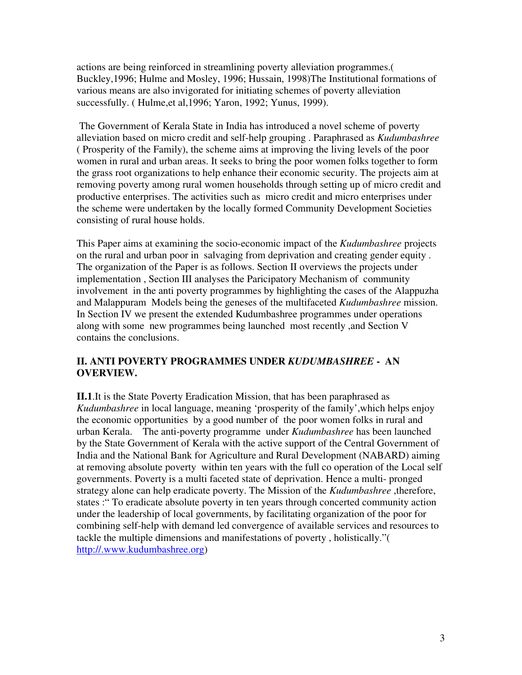actions are being reinforced in streamlining poverty alleviation programmes.( Buckley,1996; Hulme and Mosley, 1996; Hussain, 1998)The Institutional formations of various means are also invigorated for initiating schemes of poverty alleviation successfully. ( Hulme,et al,1996; Yaron, 1992; Yunus, 1999).

 The Government of Kerala State in India has introduced a novel scheme of poverty alleviation based on micro credit and self-help grouping . Paraphrased as *Kudumbashree* ( Prosperity of the Family), the scheme aims at improving the living levels of the poor women in rural and urban areas. It seeks to bring the poor women folks together to form the grass root organizations to help enhance their economic security. The projects aim at removing poverty among rural women households through setting up of micro credit and productive enterprises. The activities such as micro credit and micro enterprises under the scheme were undertaken by the locally formed Community Development Societies consisting of rural house holds.

This Paper aims at examining the socio-economic impact of the *Kudumbashree* projects on the rural and urban poor in salvaging from deprivation and creating gender equity . The organization of the Paper is as follows. Section II overviews the projects under implementation , Section III analyses the Paricipatory Mechanism of community involvement in the anti poverty programmes by highlighting the cases of the Alappuzha and Malappuram Models being the geneses of the multifaceted *Kudumbashree* mission. In Section IV we present the extended Kudumbashree programmes under operations along with some new programmes being launched most recently ,and Section V contains the conclusions.

### **II. ANTI POVERTY PROGRAMMES UNDER** *KUDUMBASHREE* **- AN OVERVIEW.**

**II.1**.It is the State Poverty Eradication Mission, that has been paraphrased as *Kudumbashree* in local language, meaning 'prosperity of the family',which helps enjoy the economic opportunities by a good number of the poor women folks in rural and urban Kerala. The anti-poverty programme under *Kudumbashree* has been launched by the State Government of Kerala with the active support of the Central Government of India and the National Bank for Agriculture and Rural Development (NABARD) aiming at removing absolute poverty within ten years with the full co operation of the Local self governments. Poverty is a multi faceted state of deprivation. Hence a multi- pronged strategy alone can help eradicate poverty. The Mission of the *Kudumbashree* ,therefore, states :" To eradicate absolute poverty in ten years through concerted community action under the leadership of local governments, by facilitating organization of the poor for combining self-help with demand led convergence of available services and resources to tackle the multiple dimensions and manifestations of poverty , holistically."( http://.www.kudumbashree.org)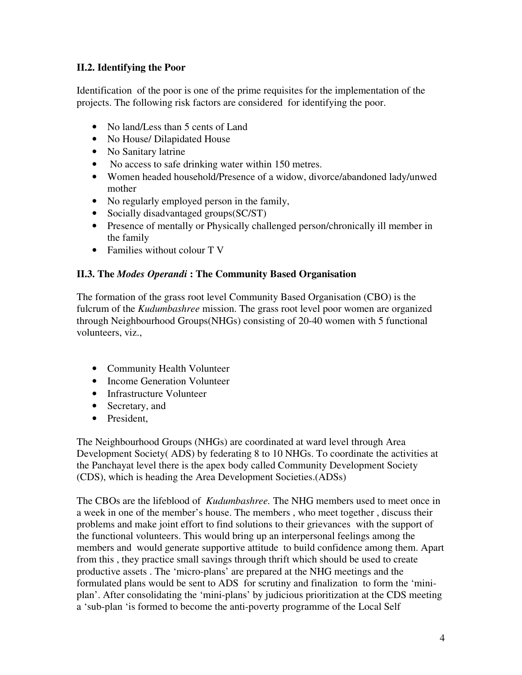## **II.2. Identifying the Poor**

Identification of the poor is one of the prime requisites for the implementation of the projects. The following risk factors are considered for identifying the poor.

- No land/Less than 5 cents of Land
- No House/ Dilapidated House
- No Sanitary latrine
- No access to safe drinking water within 150 metres.
- Women headed household/Presence of a widow, divorce/abandoned lady/unwed mother
- No regularly employed person in the family,
- Socially disadvantaged groups(SC/ST)
- Presence of mentally or Physically challenged person/chronically ill member in the family
- Families without colour T V

## **II.3. The** *Modes Operandi* **: The Community Based Organisation**

The formation of the grass root level Community Based Organisation (CBO) is the fulcrum of the *Kudumbashree* mission. The grass root level poor women are organized through Neighbourhood Groups(NHGs) consisting of 20-40 women with 5 functional volunteers, viz.,

- Community Health Volunteer
- Income Generation Volunteer
- Infrastructure Volunteer
- Secretary, and
- President,

The Neighbourhood Groups (NHGs) are coordinated at ward level through Area Development Society( ADS) by federating 8 to 10 NHGs. To coordinate the activities at the Panchayat level there is the apex body called Community Development Society (CDS), which is heading the Area Development Societies.(ADSs)

The CBOs are the lifeblood of *Kudumbashree.* The NHG members used to meet once in a week in one of the member's house. The members , who meet together , discuss their problems and make joint effort to find solutions to their grievances with the support of the functional volunteers. This would bring up an interpersonal feelings among the members and would generate supportive attitude to build confidence among them. Apart from this , they practice small savings through thrift which should be used to create productive assets . The 'micro-plans' are prepared at the NHG meetings and the formulated plans would be sent to ADS for scrutiny and finalization to form the 'miniplan'. After consolidating the 'mini-plans' by judicious prioritization at the CDS meeting a 'sub-plan 'is formed to become the anti-poverty programme of the Local Self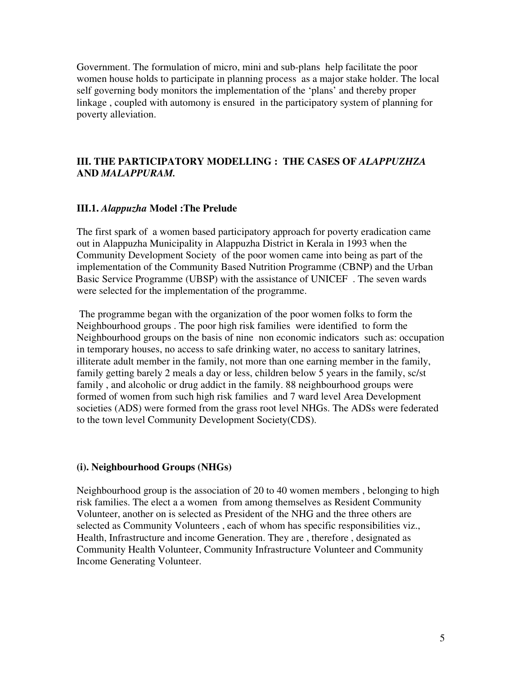Government. The formulation of micro, mini and sub-plans help facilitate the poor women house holds to participate in planning process as a major stake holder. The local self governing body monitors the implementation of the 'plans' and thereby proper linkage , coupled with automony is ensured in the participatory system of planning for poverty alleviation.

#### **III. THE PARTICIPATORY MODELLING : THE CASES OF** *ALAPPUZHZA*  **AND** *MALAPPURAM.*

#### **III.1.** *Alappuzha* **Model :The Prelude**

The first spark of a women based participatory approach for poverty eradication came out in Alappuzha Municipality in Alappuzha District in Kerala in 1993 when the Community Development Society of the poor women came into being as part of the implementation of the Community Based Nutrition Programme (CBNP) and the Urban Basic Service Programme (UBSP) with the assistance of UNICEF . The seven wards were selected for the implementation of the programme.

 The programme began with the organization of the poor women folks to form the Neighbourhood groups . The poor high risk families were identified to form the Neighbourhood groups on the basis of nine non economic indicators such as: occupation in temporary houses, no access to safe drinking water, no access to sanitary latrines, illiterate adult member in the family, not more than one earning member in the family, family getting barely 2 meals a day or less, children below 5 years in the family, sc/st family , and alcoholic or drug addict in the family. 88 neighbourhood groups were formed of women from such high risk families and 7 ward level Area Development societies (ADS) were formed from the grass root level NHGs. The ADSs were federated to the town level Community Development Society(CDS).

#### **(i). Neighbourhood Groups (NHGs)**

Neighbourhood group is the association of 20 to 40 women members , belonging to high risk families. The elect a a women from among themselves as Resident Community Volunteer, another on is selected as President of the NHG and the three others are selected as Community Volunteers , each of whom has specific responsibilities viz., Health, Infrastructure and income Generation. They are , therefore , designated as Community Health Volunteer, Community Infrastructure Volunteer and Community Income Generating Volunteer.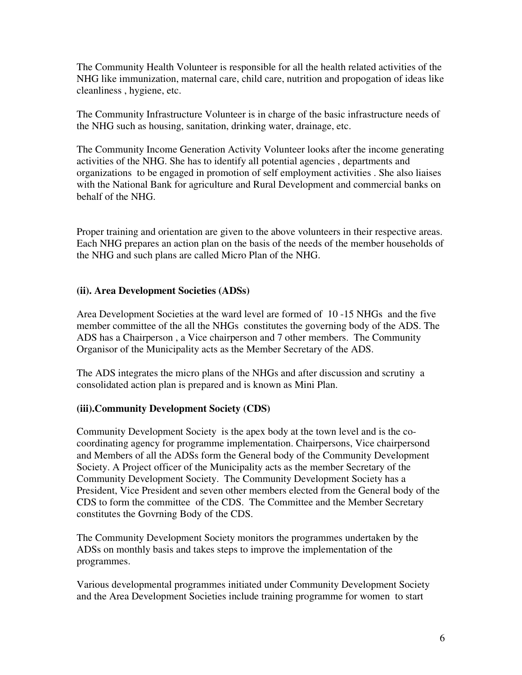The Community Health Volunteer is responsible for all the health related activities of the NHG like immunization, maternal care, child care, nutrition and propogation of ideas like cleanliness , hygiene, etc.

The Community Infrastructure Volunteer is in charge of the basic infrastructure needs of the NHG such as housing, sanitation, drinking water, drainage, etc.

The Community Income Generation Activity Volunteer looks after the income generating activities of the NHG. She has to identify all potential agencies , departments and organizations to be engaged in promotion of self employment activities . She also liaises with the National Bank for agriculture and Rural Development and commercial banks on behalf of the NHG.

Proper training and orientation are given to the above volunteers in their respective areas. Each NHG prepares an action plan on the basis of the needs of the member households of the NHG and such plans are called Micro Plan of the NHG.

### **(ii). Area Development Societies (ADSs)**

Area Development Societies at the ward level are formed of 10 -15 NHGs and the five member committee of the all the NHGs constitutes the governing body of the ADS. The ADS has a Chairperson , a Vice chairperson and 7 other members. The Community Organisor of the Municipality acts as the Member Secretary of the ADS.

The ADS integrates the micro plans of the NHGs and after discussion and scrutiny a consolidated action plan is prepared and is known as Mini Plan.

### **(iii).Community Development Society (CDS)**

Community Development Society is the apex body at the town level and is the cocoordinating agency for programme implementation. Chairpersons, Vice chairpersond and Members of all the ADSs form the General body of the Community Development Society. A Project officer of the Municipality acts as the member Secretary of the Community Development Society. The Community Development Society has a President, Vice President and seven other members elected from the General body of the CDS to form the committee of the CDS. The Committee and the Member Secretary constitutes the Govrning Body of the CDS.

The Community Development Society monitors the programmes undertaken by the ADSs on monthly basis and takes steps to improve the implementation of the programmes.

Various developmental programmes initiated under Community Development Society and the Area Development Societies include training programme for women to start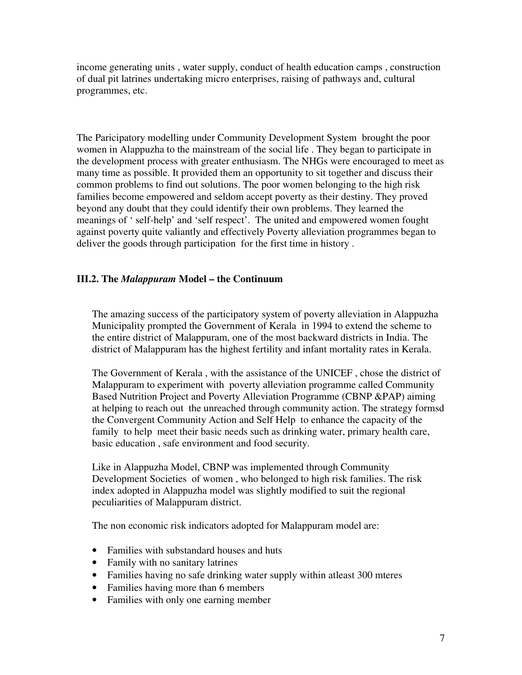income generating units , water supply, conduct of health education camps , construction of dual pit latrines undertaking micro enterprises, raising of pathways and, cultural programmes, etc.

The Paricipatory modelling under Community Development System brought the poor women in Alappuzha to the mainstream of the social life . They began to participate in the development process with greater enthusiasm. The NHGs were encouraged to meet as many time as possible. It provided them an opportunity to sit together and discuss their common problems to find out solutions. The poor women belonging to the high risk families become empowered and seldom accept poverty as their destiny. They proved beyond any doubt that they could identify their own problems. They learned the meanings of ' self-help' and 'self respect'. The united and empowered women fought against poverty quite valiantly and effectively Poverty alleviation programmes began to deliver the goods through participation for the first time in history .

### **III.2. The** *Malappuram* **Model – the Continuum**

The amazing success of the participatory system of poverty alleviation in Alappuzha Municipality prompted the Government of Kerala in 1994 to extend the scheme to the entire district of Malappuram, one of the most backward districts in India. The district of Malappuram has the highest fertility and infant mortality rates in Kerala.

The Government of Kerala , with the assistance of the UNICEF , chose the district of Malappuram to experiment with poverty alleviation programme called Community Based Nutrition Project and Poverty Alleviation Programme (CBNP &PAP) aiming at helping to reach out the unreached through community action. The strategy formsd the Convergent Community Action and Self Help to enhance the capacity of the family to help meet their basic needs such as drinking water, primary health care, basic education , safe environment and food security.

Like in Alappuzha Model, CBNP was implemented through Community Development Societies of women , who belonged to high risk families. The risk index adopted in Alappuzha model was slightly modified to suit the regional peculiarities of Malappuram district.

The non economic risk indicators adopted for Malappuram model are:

- Families with substandard houses and huts
- Family with no sanitary latrines
- Families having no safe drinking water supply within at least 300 mteres
- Families having more than 6 members
- Families with only one earning member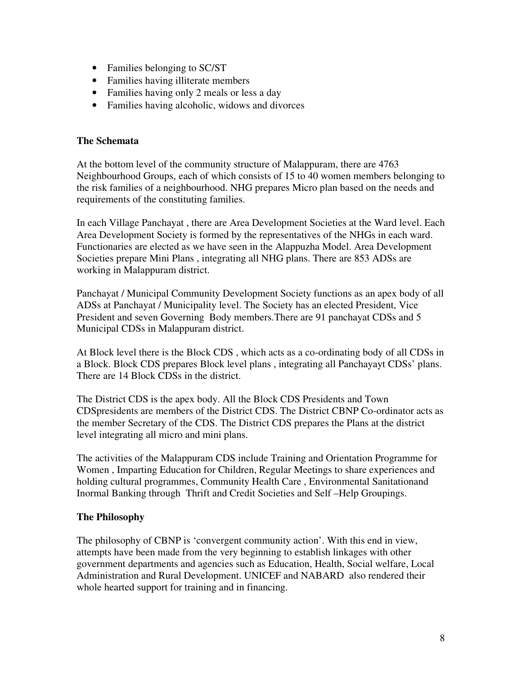- Families belonging to SC/ST
- Families having illiterate members
- Families having only 2 meals or less a day
- Families having alcoholic, widows and divorces

## **The Schemata**

At the bottom level of the community structure of Malappuram, there are 4763 Neighbourhood Groups, each of which consists of 15 to 40 women members belonging to the risk families of a neighbourhood. NHG prepares Micro plan based on the needs and requirements of the constituting families.

In each Village Panchayat , there are Area Development Societies at the Ward level. Each Area Development Society is formed by the representatives of the NHGs in each ward. Functionaries are elected as we have seen in the Alappuzha Model. Area Development Societies prepare Mini Plans , integrating all NHG plans. There are 853 ADSs are working in Malappuram district.

Panchayat / Municipal Community Development Society functions as an apex body of all ADSs at Panchayat / Municipality level. The Society has an elected President, Vice President and seven Governing Body members.There are 91 panchayat CDSs and 5 Municipal CDSs in Malappuram district.

At Block level there is the Block CDS , which acts as a co-ordinating body of all CDSs in a Block. Block CDS prepares Block level plans , integrating all Panchayayt CDSs' plans. There are 14 Block CDSs in the district.

The District CDS is the apex body. All the Block CDS Presidents and Town CDSpresidents are members of the District CDS. The District CBNP Co-ordinator acts as the member Secretary of the CDS. The District CDS prepares the Plans at the district level integrating all micro and mini plans.

The activities of the Malappuram CDS include Training and Orientation Programme for Women , Imparting Education for Children, Regular Meetings to share experiences and holding cultural programmes, Community Health Care , Environmental Sanitationand Inormal Banking through Thrift and Credit Societies and Self –Help Groupings.

## **The Philosophy**

The philosophy of CBNP is 'convergent community action'. With this end in view, attempts have been made from the very beginning to establish linkages with other government departments and agencies such as Education, Health, Social welfare, Local Administration and Rural Development. UNICEF and NABARD also rendered their whole hearted support for training and in financing.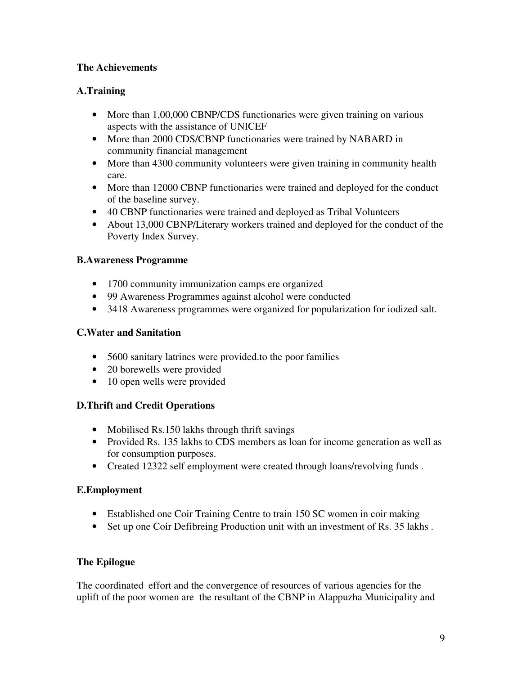## **The Achievements**

## **A.Training**

- More than 1,00,000 CBNP/CDS functionaries were given training on various aspects with the assistance of UNICEF
- More than 2000 CDS/CBNP functionaries were trained by NABARD in community financial management
- More than 4300 community volunteers were given training in community health care.
- More than 12000 CBNP functionaries were trained and deployed for the conduct of the baseline survey.
- 40 CBNP functionaries were trained and deployed as Tribal Volunteers
- About 13,000 CBNP/Literary workers trained and deployed for the conduct of the Poverty Index Survey.

## **B.Awareness Programme**

- 1700 community immunization camps ere organized
- 99 Awareness Programmes against alcohol were conducted
- 3418 Awareness programmes were organized for popularization for iodized salt.

## **C.Water and Sanitation**

- 5600 sanitary latrines were provided to the poor families
- 20 borewells were provided
- 10 open wells were provided

## **D.Thrift and Credit Operations**

- Mobilised Rs.150 lakhs through thrift savings
- Provided Rs. 135 lakhs to CDS members as loan for income generation as well as for consumption purposes.
- Created 12322 self employment were created through loans/revolving funds .

## **E.Employment**

- Established one Coir Training Centre to train 150 SC women in coir making
- Set up one Coir Defibreing Production unit with an investment of Rs. 35 lakhs.

## **The Epilogue**

The coordinated effort and the convergence of resources of various agencies for the uplift of the poor women are the resultant of the CBNP in Alappuzha Municipality and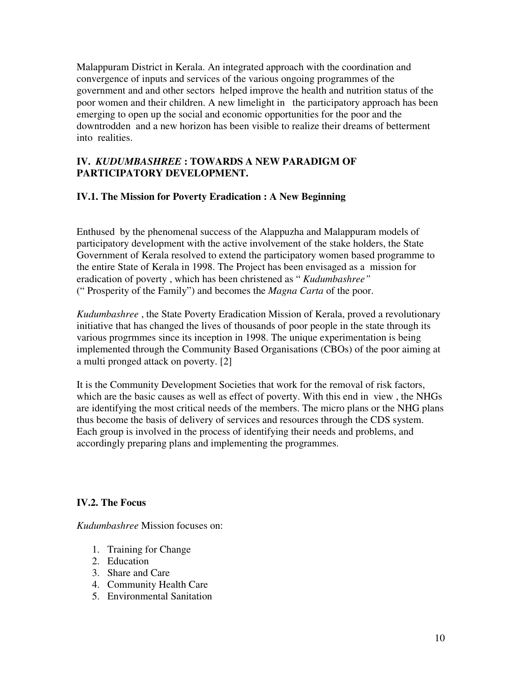Malappuram District in Kerala. An integrated approach with the coordination and convergence of inputs and services of the various ongoing programmes of the government and and other sectors helped improve the health and nutrition status of the poor women and their children. A new limelight in the participatory approach has been emerging to open up the social and economic opportunities for the poor and the downtrodden and a new horizon has been visible to realize their dreams of betterment into realities.

### **IV.** *KUDUMBASHREE* **: TOWARDS A NEW PARADIGM OF PARTICIPATORY DEVELOPMENT.**

## **IV.1. The Mission for Poverty Eradication : A New Beginning**

Enthused by the phenomenal success of the Alappuzha and Malappuram models of participatory development with the active involvement of the stake holders, the State Government of Kerala resolved to extend the participatory women based programme to the entire State of Kerala in 1998. The Project has been envisaged as a mission for eradication of poverty , which has been christened as " *Kudumbashree"*  (" Prosperity of the Family") and becomes the *Magna Carta* of the poor.

*Kudumbashree* , the State Poverty Eradication Mission of Kerala, proved a revolutionary initiative that has changed the lives of thousands of poor people in the state through its various progrmmes since its inception in 1998. The unique experimentation is being implemented through the Community Based Organisations (CBOs) of the poor aiming at a multi pronged attack on poverty. [2]

It is the Community Development Societies that work for the removal of risk factors, which are the basic causes as well as effect of poverty. With this end in view , the NHGs are identifying the most critical needs of the members. The micro plans or the NHG plans thus become the basis of delivery of services and resources through the CDS system. Each group is involved in the process of identifying their needs and problems, and accordingly preparing plans and implementing the programmes.

### **IV.2. The Focus**

*Kudumbashree* Mission focuses on:

- 1. Training for Change
- 2. Education
- 3. Share and Care
- 4. Community Health Care
- 5. Environmental Sanitation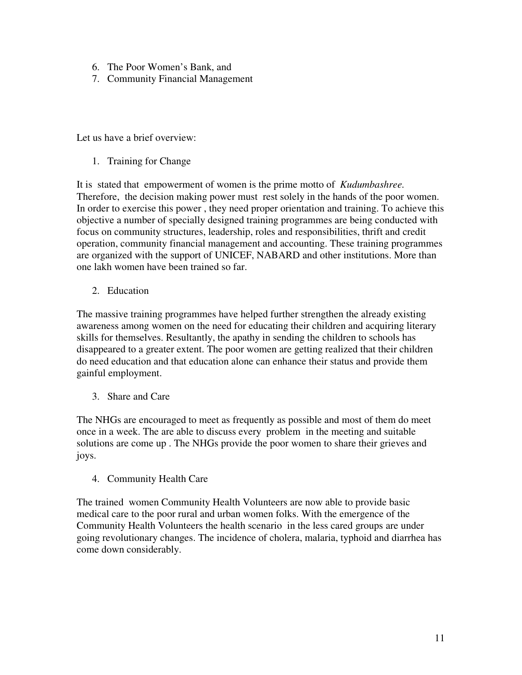- 6. The Poor Women's Bank, and
- 7. Community Financial Management

Let us have a brief overview:

1. Training for Change

It is stated that empowerment of women is the prime motto of *Kudumbashree.*  Therefore, the decision making power must rest solely in the hands of the poor women. In order to exercise this power , they need proper orientation and training. To achieve this objective a number of specially designed training programmes are being conducted with focus on community structures, leadership, roles and responsibilities, thrift and credit operation, community financial management and accounting. These training programmes are organized with the support of UNICEF, NABARD and other institutions. More than one lakh women have been trained so far.

2. Education

The massive training programmes have helped further strengthen the already existing awareness among women on the need for educating their children and acquiring literary skills for themselves. Resultantly, the apathy in sending the children to schools has disappeared to a greater extent. The poor women are getting realized that their children do need education and that education alone can enhance their status and provide them gainful employment.

3. Share and Care

The NHGs are encouraged to meet as frequently as possible and most of them do meet once in a week. The are able to discuss every problem in the meeting and suitable solutions are come up . The NHGs provide the poor women to share their grieves and joys.

4. Community Health Care

The trained women Community Health Volunteers are now able to provide basic medical care to the poor rural and urban women folks. With the emergence of the Community Health Volunteers the health scenario in the less cared groups are under going revolutionary changes. The incidence of cholera, malaria, typhoid and diarrhea has come down considerably.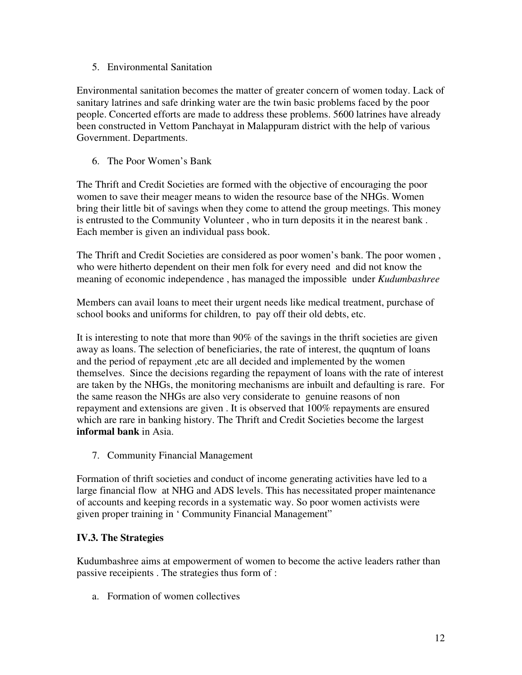#### 5. Environmental Sanitation

Environmental sanitation becomes the matter of greater concern of women today. Lack of sanitary latrines and safe drinking water are the twin basic problems faced by the poor people. Concerted efforts are made to address these problems. 5600 latrines have already been constructed in Vettom Panchayat in Malappuram district with the help of various Government. Departments.

6. The Poor Women's Bank

The Thrift and Credit Societies are formed with the objective of encouraging the poor women to save their meager means to widen the resource base of the NHGs. Women bring their little bit of savings when they come to attend the group meetings. This money is entrusted to the Community Volunteer , who in turn deposits it in the nearest bank . Each member is given an individual pass book.

The Thrift and Credit Societies are considered as poor women's bank. The poor women , who were hitherto dependent on their men folk for every need and did not know the meaning of economic independence , has managed the impossible under *Kudumbashree* 

Members can avail loans to meet their urgent needs like medical treatment, purchase of school books and uniforms for children, to pay off their old debts, etc.

It is interesting to note that more than 90% of the savings in the thrift societies are given away as loans. The selection of beneficiaries, the rate of interest, the quqntum of loans and the period of repayment ,etc are all decided and implemented by the women themselves. Since the decisions regarding the repayment of loans with the rate of interest are taken by the NHGs, the monitoring mechanisms are inbuilt and defaulting is rare. For the same reason the NHGs are also very considerate to genuine reasons of non repayment and extensions are given . It is observed that 100% repayments are ensured which are rare in banking history. The Thrift and Credit Societies become the largest **informal bank** in Asia.

7. Community Financial Management

Formation of thrift societies and conduct of income generating activities have led to a large financial flow at NHG and ADS levels. This has necessitated proper maintenance of accounts and keeping records in a systematic way. So poor women activists were given proper training in ' Community Financial Management"

### **IV.3. The Strategies**

Kudumbashree aims at empowerment of women to become the active leaders rather than passive receipients . The strategies thus form of :

a. Formation of women collectives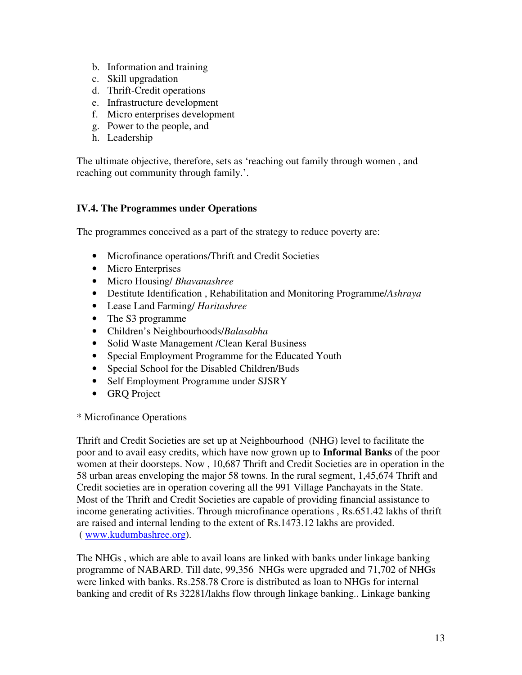- b. Information and training
- c. Skill upgradation
- d. Thrift-Credit operations
- e. Infrastructure development
- f. Micro enterprises development
- g. Power to the people, and
- h. Leadership

The ultimate objective, therefore, sets as 'reaching out family through women , and reaching out community through family.'.

#### **IV.4. The Programmes under Operations**

The programmes conceived as a part of the strategy to reduce poverty are:

- Microfinance operations/Thrift and Credit Societies
- Micro Enterprises
- Micro Housing/ *Bhavanashree*
- Destitute Identification , Rehabilitation and Monitoring Programme/*Ashraya*
- Lease Land Farming/ *Haritashree*
- The S3 programme
- Children's Neighbourhoods/*Balasabha*
- Solid Waste Management / Clean Keral Business
- Special Employment Programme for the Educated Youth
- Special School for the Disabled Children/Buds
- Self Employment Programme under SJSRY
- GRQ Project

#### \* Microfinance Operations

Thrift and Credit Societies are set up at Neighbourhood (NHG) level to facilitate the poor and to avail easy credits, which have now grown up to **Informal Banks** of the poor women at their doorsteps. Now , 10,687 Thrift and Credit Societies are in operation in the 58 urban areas enveloping the major 58 towns. In the rural segment, 1,45,674 Thrift and Credit societies are in operation covering all the 991 Village Panchayats in the State. Most of the Thrift and Credit Societies are capable of providing financial assistance to income generating activities. Through microfinance operations , Rs.651.42 lakhs of thrift are raised and internal lending to the extent of Rs.1473.12 lakhs are provided. ( www.kudumbashree.org).

The NHGs , which are able to avail loans are linked with banks under linkage banking programme of NABARD. Till date, 99,356 NHGs were upgraded and 71,702 of NHGs were linked with banks. Rs.258.78 Crore is distributed as loan to NHGs for internal banking and credit of Rs 32281/lakhs flow through linkage banking.. Linkage banking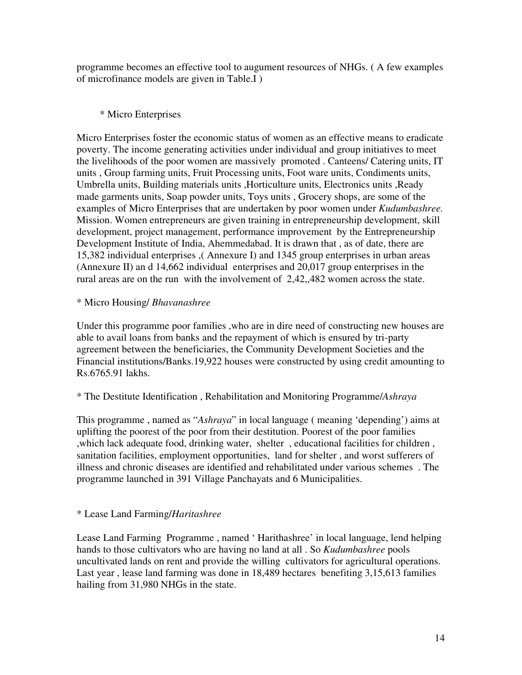programme becomes an effective tool to augument resources of NHGs. ( A few examples of microfinance models are given in Table.I )

## \* Micro Enterprises

Micro Enterprises foster the economic status of women as an effective means to eradicate poverty. The income generating activities under individual and group initiatives to meet the livelihoods of the poor women are massively promoted . Canteens/ Catering units, IT units , Group farming units, Fruit Processing units, Foot ware units, Condiments units, Umbrella units, Building materials units ,Horticulture units, Electronics units ,Ready made garments units, Soap powder units, Toys units , Grocery shops, are some of the examples of Micro Enterprises that are undertaken by poor women under *Kudumbashree.*  Mission. Women entrepreneurs are given training in entrepreneurship development, skill development, project management, performance improvement by the Entrepreneurship Development Institute of India, Ahemmedabad. It is drawn that , as of date, there are 15,382 individual enterprises ,( Annexure I) and 1345 group enterprises in urban areas (Annexure II) an d 14,662 individual enterprises and 20,017 group enterprises in the rural areas are on the run with the involvement of 2,42,,482 women across the state.

### \* Micro Housing/ *Bhavanashree*

Under this programme poor families ,who are in dire need of constructing new houses are able to avail loans from banks and the repayment of which is ensured by tri-party agreement between the beneficiaries, the Community Development Societies and the Financial institutions/Banks.19,922 houses were constructed by using credit amounting to Rs.6765.91 lakhs.

### \* The Destitute Identification , Rehabilitation and Monitoring Programme/*Ashraya*

This programme , named as "*Ashraya*" in local language ( meaning 'depending') aims at uplifting the poorest of the poor from their destitution. Poorest of the poor families ,which lack adequate food, drinking water, shelter , educational facilities for children , sanitation facilities, employment opportunities, land for shelter , and worst sufferers of illness and chronic diseases are identified and rehabilitated under various schemes . The programme launched in 391 Village Panchayats and 6 Municipalities.

### \* Lease Land Farming/*Haritashree*

Lease Land Farming Programme , named ' Harithashree' in local language, lend helping hands to those cultivators who are having no land at all . So *Kudumbashree* pools uncultivated lands on rent and provide the willing cultivators for agricultural operations. Last year , lease land farming was done in 18,489 hectares benefiting 3,15,613 families hailing from 31,980 NHGs in the state.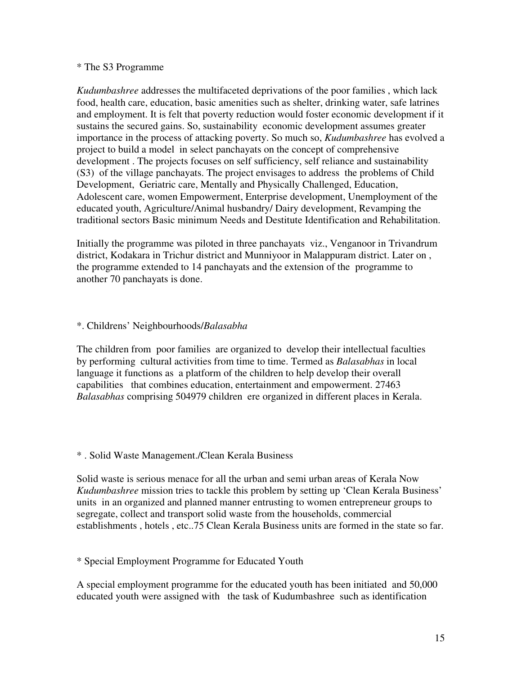#### \* The S3 Programme

*Kudumbashree* addresses the multifaceted deprivations of the poor families , which lack food, health care, education, basic amenities such as shelter, drinking water, safe latrines and employment. It is felt that poverty reduction would foster economic development if it sustains the secured gains. So, sustainability economic development assumes greater importance in the process of attacking poverty. So much so, *Kudumbashree* has evolved a project to build a model in select panchayats on the concept of comprehensive development . The projects focuses on self sufficiency, self reliance and sustainability (S3) of the village panchayats. The project envisages to address the problems of Child Development, Geriatric care, Mentally and Physically Challenged, Education, Adolescent care, women Empowerment, Enterprise development, Unemployment of the educated youth, Agriculture/Animal husbandry/ Dairy development, Revamping the traditional sectors Basic minimum Needs and Destitute Identification and Rehabilitation.

Initially the programme was piloted in three panchayats viz., Venganoor in Trivandrum district, Kodakara in Trichur district and Munniyoor in Malappuram district. Later on , the programme extended to 14 panchayats and the extension of the programme to another 70 panchayats is done.

#### \*. Childrens' Neighbourhoods/*Balasabha*

The children from poor families are organized to develop their intellectual faculties by performing cultural activities from time to time. Termed as *Balasabhas* in local language it functions as a platform of the children to help develop their overall capabilities that combines education, entertainment and empowerment. 27463 *Balasabhas* comprising 504979 children ere organized in different places in Kerala.

#### \* . Solid Waste Management./Clean Kerala Business

Solid waste is serious menace for all the urban and semi urban areas of Kerala Now *Kudumbashree* mission tries to tackle this problem by setting up 'Clean Kerala Business' units in an organized and planned manner entrusting to women entrepreneur groups to segregate, collect and transport solid waste from the households, commercial establishments , hotels , etc..75 Clean Kerala Business units are formed in the state so far.

\* Special Employment Programme for Educated Youth

A special employment programme for the educated youth has been initiated and 50,000 educated youth were assigned with the task of Kudumbashree such as identification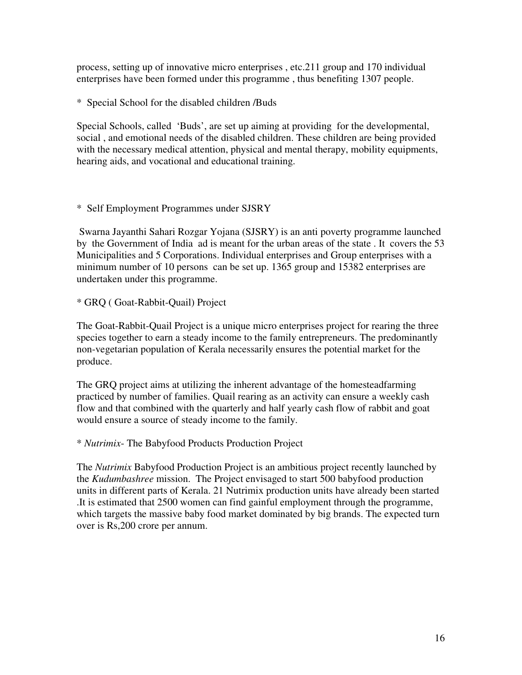process, setting up of innovative micro enterprises , etc.211 group and 170 individual enterprises have been formed under this programme , thus benefiting 1307 people.

\* Special School for the disabled children /Buds

Special Schools, called 'Buds', are set up aiming at providing for the developmental, social , and emotional needs of the disabled children. These children are being provided with the necessary medical attention, physical and mental therapy, mobility equipments, hearing aids, and vocational and educational training.

### \* Self Employment Programmes under SJSRY

 Swarna Jayanthi Sahari Rozgar Yojana (SJSRY) is an anti poverty programme launched by the Government of India ad is meant for the urban areas of the state . It covers the 53 Municipalities and 5 Corporations. Individual enterprises and Group enterprises with a minimum number of 10 persons can be set up. 1365 group and 15382 enterprises are undertaken under this programme.

\* GRQ ( Goat-Rabbit-Quail) Project

The Goat-Rabbit-Quail Project is a unique micro enterprises project for rearing the three species together to earn a steady income to the family entrepreneurs. The predominantly non-vegetarian population of Kerala necessarily ensures the potential market for the produce.

The GRQ project aims at utilizing the inherent advantage of the homesteadfarming practiced by number of families. Quail rearing as an activity can ensure a weekly cash flow and that combined with the quarterly and half yearly cash flow of rabbit and goat would ensure a source of steady income to the family.

\* *Nutrimix*- The Babyfood Products Production Project

The *Nutrimix* Babyfood Production Project is an ambitious project recently launched by the *Kudumbashree* mission. The Project envisaged to start 500 babyfood production units in different parts of Kerala. 21 Nutrimix production units have already been started .It is estimated that 2500 women can find gainful employment through the programme, which targets the massive baby food market dominated by big brands. The expected turn over is Rs,200 crore per annum.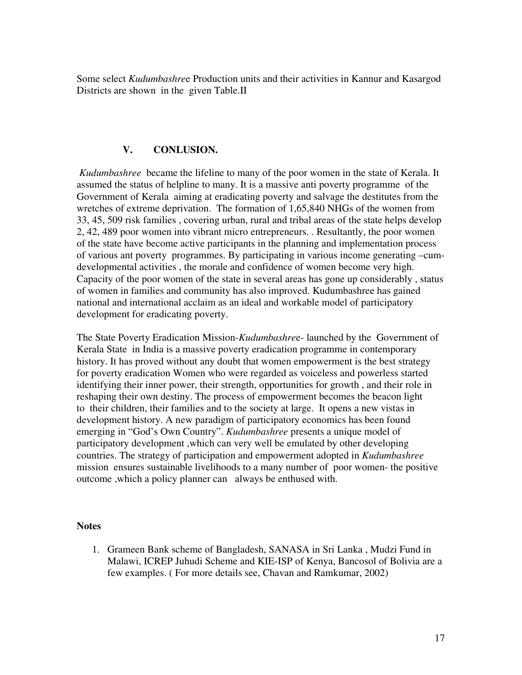Some select *Kudumbashre*e Production units and their activities in Kannur and Kasargod Districts are shown in the given Table.II

#### **V. CONLUSION.**

 *Kudumbashree* became the lifeline to many of the poor women in the state of Kerala. It assumed the status of helpline to many. It is a massive anti poverty programme of the Government of Kerala aiming at eradicating poverty and salvage the destitutes from the wretches of extreme deprivation. The formation of 1,65,840 NHGs of the women from 33, 45, 509 risk families , covering urban, rural and tribal areas of the state helps develop 2, 42, 489 poor women into vibrant micro entrepreneurs. . Resultantly, the poor women of the state have become active participants in the planning and implementation process of various ant poverty programmes. By participating in various income generating –cumdevelopmental activities , the morale and confidence of women become very high. Capacity of the poor women of the state in several areas has gone up considerably , status of women in families and community has also improved. Kudumbashree has gained national and international acclaim as an ideal and workable model of participatory development for eradicating poverty.

The State Poverty Eradication Mission-*Kudumbashre*e- launched by the Government of Kerala State in India is a massive poverty eradication programme in contemporary history. It has proved without any doubt that women empowerment is the best strategy for poverty eradication Women who were regarded as voiceless and powerless started identifying their inner power, their strength, opportunities for growth , and their role in reshaping their own destiny. The process of empowerment becomes the beacon light to their children, their families and to the society at large. It opens a new vistas in development history. A new paradigm of participatory economics has been found emerging in "God's Own Country". *Kudumbashree* presents a unique model of participatory development ,which can very well be emulated by other developing countries. The strategy of participation and empowerment adopted in *Kudumbashree* mission ensures sustainable livelihoods to a many number of poor women- the positive outcome ,which a policy planner can always be enthused with.

#### **Notes**

1. Grameen Bank scheme of Bangladesh, SANASA in Sri Lanka , Mudzi Fund in Malawi, ICREP Juhudi Scheme and KIE-ISP of Kenya, Bancosol of Bolivia are a few examples. ( For more details see, Chavan and Ramkumar, 2002)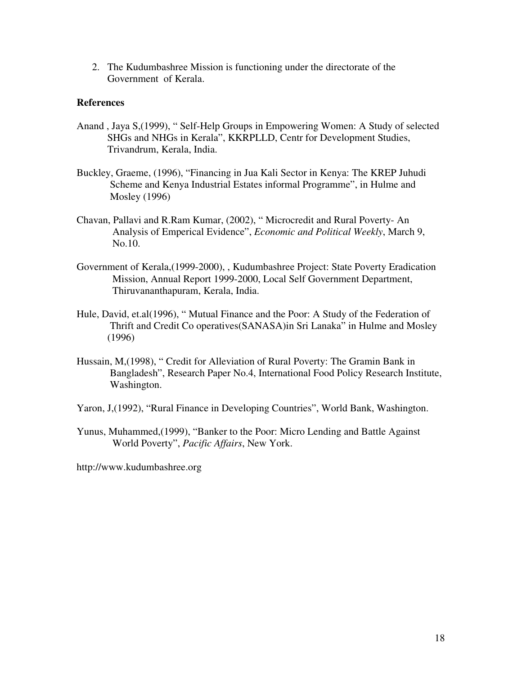2. The Kudumbashree Mission is functioning under the directorate of the Government of Kerala.

#### **References**

- Anand , Jaya S,(1999), " Self-Help Groups in Empowering Women: A Study of selected SHGs and NHGs in Kerala", KKRPLLD, Centr for Development Studies, Trivandrum, Kerala, India.
- Buckley, Graeme, (1996), "Financing in Jua Kali Sector in Kenya: The KREP Juhudi Scheme and Kenya Industrial Estates informal Programme", in Hulme and Mosley (1996)
- Chavan, Pallavi and R.Ram Kumar, (2002), " Microcredit and Rural Poverty- An Analysis of Emperical Evidence", *Economic and Political Weekly*, March 9, No.10.
- Government of Kerala,(1999-2000), , Kudumbashree Project: State Poverty Eradication Mission, Annual Report 1999-2000, Local Self Government Department, Thiruvananthapuram, Kerala, India.
- Hule, David, et.al(1996), " Mutual Finance and the Poor: A Study of the Federation of Thrift and Credit Co operatives(SANASA)in Sri Lanaka" in Hulme and Mosley (1996)
- Hussain, M,(1998), " Credit for Alleviation of Rural Poverty: The Gramin Bank in Bangladesh", Research Paper No.4, International Food Policy Research Institute, Washington.
- Yaron, J,(1992), "Rural Finance in Developing Countries", World Bank, Washington.
- Yunus, Muhammed,(1999), "Banker to the Poor: Micro Lending and Battle Against World Poverty", *Pacific Affairs*, New York.

http://www.kudumbashree.org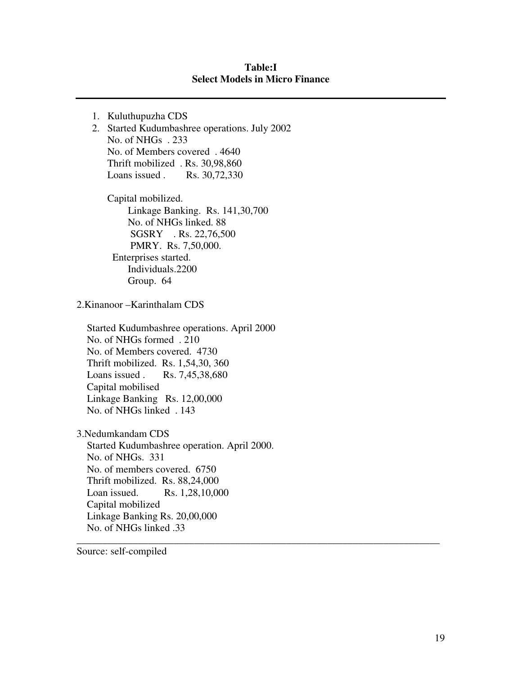#### **Table:I Select Models in Micro Finance**

\_\_\_\_\_\_\_\_\_\_\_\_\_\_\_\_\_\_\_\_\_\_\_\_\_\_\_\_\_\_\_\_\_\_\_\_\_\_\_\_\_\_\_\_\_\_\_\_\_\_\_\_\_\_\_\_\_\_\_\_\_\_\_\_\_\_\_\_\_\_\_

1. Kuluthupuzha CDS 2. Started Kudumbashree operations. July 2002 No. of NHGs . 233 No. of Members covered . 4640 Thrift mobilized . Rs. 30,98,860 Loans issued . Rs. 30,72,330 Capital mobilized. Linkage Banking. Rs. 141,30,700 No. of NHGs linked. 88 SGSRY . Rs. 22,76,500 PMRY. Rs. 7,50,000. Enterprises started. Individuals.2200 Group. 64 2.Kinanoor –Karinthalam CDS Started Kudumbashree operations. April 2000 No. of NHGs formed . 210 No. of Members covered. 4730 Thrift mobilized. Rs. 1,54,30, 360 Loans issued . Rs. 7,45,38,680 Capital mobilised Linkage Banking Rs. 12,00,000 No. of NHGs linked . 143 3.Nedumkandam CDS Started Kudumbashree operation. April 2000. No. of NHGs. 331 No. of members covered. 6750 Thrift mobilized. Rs. 88,24,000 Loan issued. Rs. 1,28,10,000 Capital mobilized Linkage Banking Rs. 20,00,000 No. of NHGs linked .33

Source: self-compiled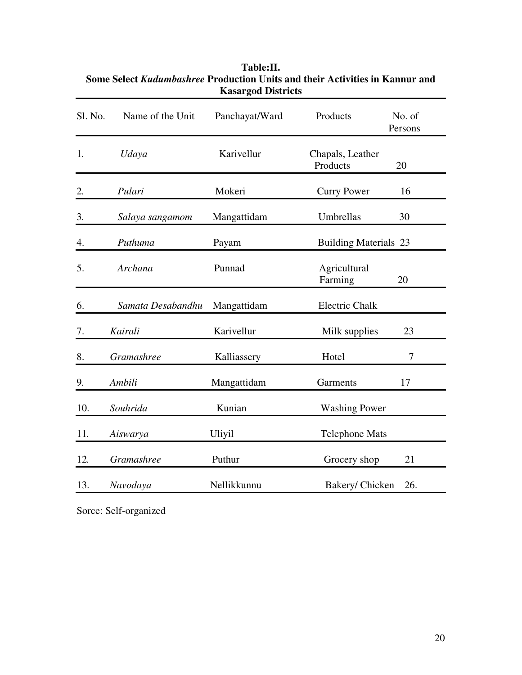| Sl. No. | Name of the Unit  | Panchayat/Ward | Products                     | No. of<br>Persons |
|---------|-------------------|----------------|------------------------------|-------------------|
| 1.      | Udaya             | Karivellur     | Chapals, Leather<br>Products | 20                |
| 2.      | Pulari            | Mokeri         | <b>Curry Power</b>           | 16                |
| 3.      | Salaya sangamom   | Mangattidam    | Umbrellas                    | 30                |
| 4.      | Puthuma           | Payam          | <b>Building Materials 23</b> |                   |
| 5.      | Archana           | Punnad         | Agricultural<br>Farming      | 20                |
| 6.      | Samata Desabandhu | Mangattidam    | <b>Electric Chalk</b>        |                   |
| 7.      | Kairali           | Karivellur     | Milk supplies                | 23                |
| 8.      | Gramashree        | Kalliassery    | Hotel                        | 7                 |
| 9.      | Ambili            | Mangattidam    | Garments                     | 17                |
| 10.     | Souhrida          | Kunian         | <b>Washing Power</b>         |                   |
| 11.     | Aiswarya          | Uliyil         | <b>Telephone Mats</b>        |                   |
| 12.     | Gramashree        | Puthur         | Grocery shop                 | 21                |
| 13.     | Navodaya          | Nellikkunnu    | Bakery/ Chicken              | 26.               |
|         |                   |                |                              |                   |

## **Table:II. Some Select** *Kudumbashree* **Production Units and their Activities in Kannur and Kasargod Districts**

Sorce: Self-organized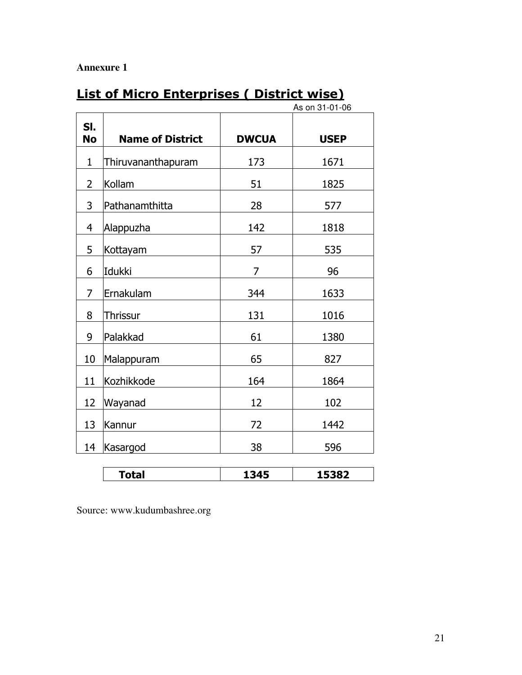## **Annexure 1**

# List of Micro Enterprises ( District wise)

|                  | As on 31-01-06          |              |             |
|------------------|-------------------------|--------------|-------------|
| SI.<br><b>No</b> | <b>Name of District</b> | <b>DWCUA</b> | <b>USEP</b> |
| $\mathbf{1}$     | Thiruvananthapuram      | 173          | 1671        |
| $\overline{2}$   | Kollam                  | 51           | 1825        |
| 3                | Pathanamthitta          | 28           | 577         |
| $\overline{4}$   | Alappuzha               | 142          | 1818        |
| 5                | Kottayam                | 57           | 535         |
| 6                | Idukki                  | 7            | 96          |
| 7                | Ernakulam               | 344          | 1633        |
| 8                | <b>Thrissur</b>         | 131          | 1016        |
| 9                | Palakkad                | 61           | 1380        |
| 10               | Malappuram              | 65           | 827         |
| 11               | Kozhikkode              | 164          | 1864        |
| 12               | Wayanad                 | 12           | 102         |
| 13               | Kannur                  | 72           | 1442        |
| 14               | Kasargod                | 38           | 596         |
|                  |                         |              |             |
|                  | <b>Total</b>            | 1345         | 15382       |

Source: www.kudumbashree.org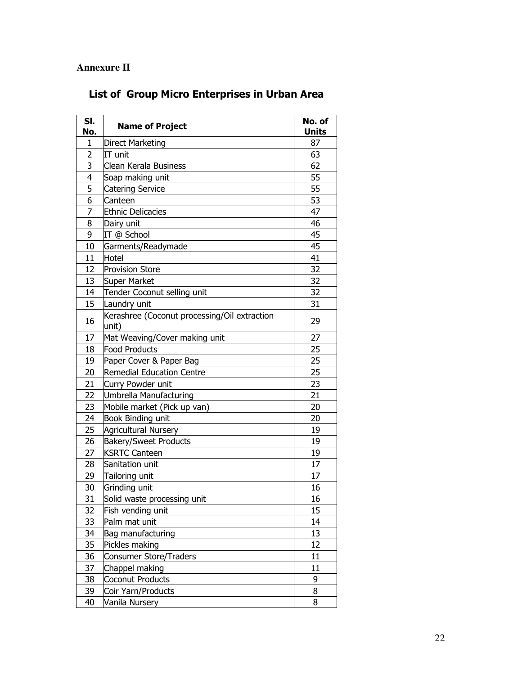## **Annexure II**

# List of Group Micro Enterprises in Urban Area

| SI.<br>No.     | <b>Name of Project</b>                                | No. of<br><b>Units</b> |
|----------------|-------------------------------------------------------|------------------------|
| 1              | <b>Direct Marketing</b>                               | 87                     |
| $\overline{2}$ | IT unit                                               | 63                     |
| 3              | Clean Kerala Business                                 | 62                     |
| 4              | Soap making unit                                      | 55                     |
| 5              | <b>Catering Service</b>                               | 55                     |
| 6              | Canteen                                               | 53                     |
| 7              | <b>Ethnic Delicacies</b>                              | 47                     |
| 8              | Dairy unit                                            | 46                     |
| 9              | IT @ School                                           | 45                     |
| 10             | Garments/Readymade                                    | 45                     |
| 11             | Hotel                                                 | 41                     |
| 12             | <b>Provision Store</b>                                | 32                     |
| 13             | <b>Super Market</b>                                   | 32                     |
| 14             | Tender Coconut selling unit                           | 32                     |
| 15             | Laundry unit                                          | 31                     |
| 16             | Kerashree (Coconut processing/Oil extraction<br>unit) | 29                     |
| 17             | Mat Weaving/Cover making unit                         | 27                     |
| 18             | <b>Food Products</b>                                  | 25                     |
| 19             | Paper Cover & Paper Bag                               | 25                     |
| 20             | <b>Remedial Education Centre</b>                      | 25                     |
| 21             | Curry Powder unit                                     | 23                     |
| 22             | Umbrella Manufacturing                                | 21                     |
| 23             | Mobile market (Pick up van)                           | 20                     |
| 24             | Book Binding unit                                     | 20                     |
| 25             | Agricultural Nursery                                  | 19                     |
| 26             | <b>Bakery/Sweet Products</b>                          | 19                     |
| 27             | <b>KSRTC Canteen</b>                                  | 19                     |
| 28             | Sanitation unit                                       | 17                     |
| 29             | Tailoring unit                                        | 17                     |
| 30             | Grinding unit                                         | 16                     |
| 31             | Solid waste processing unit                           | 16                     |
| 32             | Fish vending unit                                     | 15                     |
| 33             | Palm mat unit                                         | 14                     |
| 34             | Bag manufacturing                                     | 13                     |
| 35             | Pickles making                                        | 12                     |
| 36             | <b>Consumer Store/Traders</b>                         | 11                     |
| 37             | Chappel making                                        | 11                     |
| 38             | Coconut Products                                      | 9                      |
| 39             | Coir Yarn/Products                                    | 8                      |
| 40             | Vanila Nursery                                        | 8                      |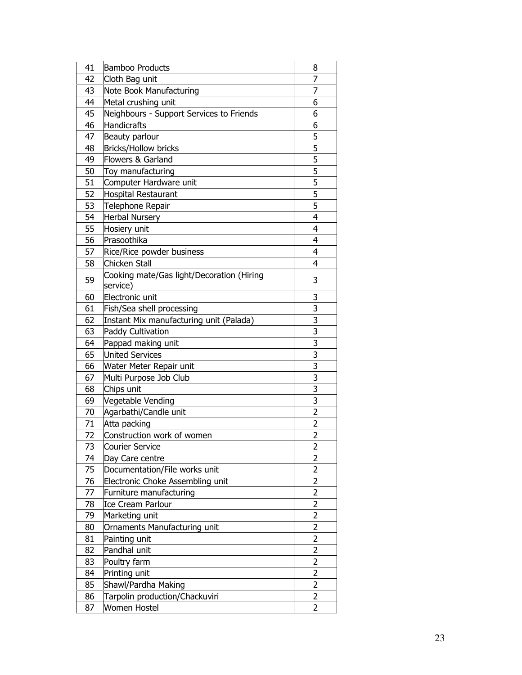| 41 | <b>Bamboo Products</b>                    | 8                   |
|----|-------------------------------------------|---------------------|
| 42 | Cloth Bag unit                            | 7                   |
| 43 | Note Book Manufacturing                   | 7                   |
| 44 | Metal crushing unit                       | 6                   |
| 45 | Neighbours - Support Services to Friends  | 6                   |
| 46 | <b>Handicrafts</b>                        | 6                   |
| 47 | Beauty parlour                            | 5                   |
| 48 | <b>Bricks/Hollow bricks</b>               | 5                   |
| 49 | Flowers & Garland                         | 5                   |
| 50 | Toy manufacturing                         | 5                   |
| 51 | Computer Hardware unit                    | 5                   |
| 52 | <b>Hospital Restaurant</b>                | 5                   |
| 53 | Telephone Repair                          | 5                   |
| 54 | <b>Herbal Nursery</b>                     | 4                   |
| 55 | Hosiery unit                              | 4                   |
| 56 | Prasoothika                               | 4                   |
| 57 | Rice/Rice powder business                 | 4                   |
| 58 | Chicken Stall                             | 4                   |
|    | Cooking mate/Gas light/Decoration (Hiring | 3                   |
| 59 | service)                                  |                     |
| 60 | Electronic unit                           | 3                   |
| 61 | Fish/Sea shell processing                 | 3                   |
| 62 | Instant Mix manufacturing unit (Palada)   | 3                   |
| 63 | Paddy Cultivation                         | 3                   |
| 64 | Pappad making unit                        | 3                   |
| 65 | <b>United Services</b>                    | 3                   |
| 66 | Water Meter Repair unit                   | 3                   |
| 67 | Multi Purpose Job Club                    | 3                   |
| 68 | Chips unit                                | 3                   |
| 69 | Vegetable Vending                         | 3                   |
| 70 | Agarbathi/Candle unit                     | $\overline{2}$      |
| 71 | Atta packing                              | $\overline{2}$      |
| 72 | Construction work of women                | $\overline{2}$      |
| 73 | <b>Courier Service</b>                    | 2                   |
| 74 | Day Care centre                           | 2                   |
| 75 | Documentation/File works unit             | 2                   |
| 76 | Electronic Choke Assembling unit          | 2                   |
| 77 | Furniture manufacturing                   | $\overline{2}$      |
| 78 | <b>Ice Cream Parlour</b>                  | 2                   |
| 79 | Marketing unit                            | 2                   |
| 80 | Ornaments Manufacturing unit              | 2                   |
| 81 | Painting unit                             | $\overline{2}$      |
| 82 | Pandhal unit                              | 2                   |
| 83 | Poultry farm                              | 2                   |
|    | Printing unit                             |                     |
| 84 |                                           | 2<br>$\overline{2}$ |
| 85 | Shawl/Pardha Making                       |                     |
| 86 | Tarpolin production/Chackuviri            | 2                   |
| 87 | Women Hostel                              | 2                   |